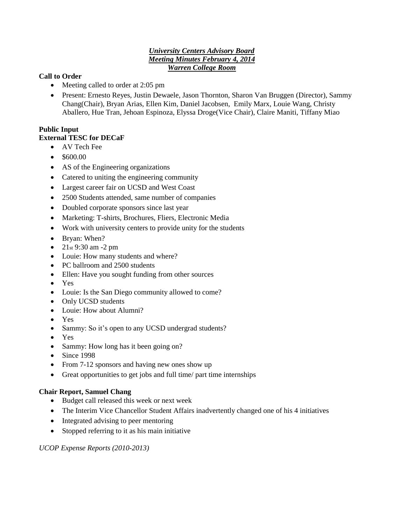### *University Centers Advisory Board Meeting Minutes February 4, 2014 Warren College Room*

## **Call to Order**

- Meeting called to order at 2:05 pm
- Present: Ernesto Reyes, Justin Dewaele, Jason Thornton, Sharon Van Bruggen (Director), Sammy Chang(Chair), Bryan Arias, Ellen Kim, Daniel Jacobsen, Emily Marx, Louie Wang, Christy Aballero, Hue Tran, Jehoan Espinoza, Elyssa Droge(Vice Chair), Claire Maniti, Tiffany Miao

# **Public Input**

## **External TESC for DECaF**

- AV Tech Fee
- $\bullet$  \$600.00
- AS of the Engineering organizations
- Catered to uniting the engineering community
- Largest career fair on UCSD and West Coast
- 2500 Students attended, same number of companies
- Doubled corporate sponsors since last year
- Marketing: T-shirts, Brochures, Fliers, Electronic Media
- Work with university centers to provide unity for the students
- Bryan: When?
- $21st 9:30 am 2 pm$
- Louie: How many students and where?
- PC ballroom and 2500 students
- Ellen: Have you sought funding from other sources
- Yes
- Louie: Is the San Diego community allowed to come?
- Only UCSD students
- Louie: How about Alumni?
- Yes
- Sammy: So it's open to any UCSD undergrad students?
- Yes
- Sammy: How long has it been going on?
- $\bullet$  Since 1998
- From 7-12 sponsors and having new ones show up
- Great opportunities to get jobs and full time/ part time internships

## **Chair Report, Samuel Chang**

- Budget call released this week or next week
- The Interim Vice Chancellor Student Affairs inadvertently changed one of his 4 initiatives
- Integrated advising to peer mentoring
- Stopped referring to it as his main initiative

*UCOP Expense Reports (2010-2013)*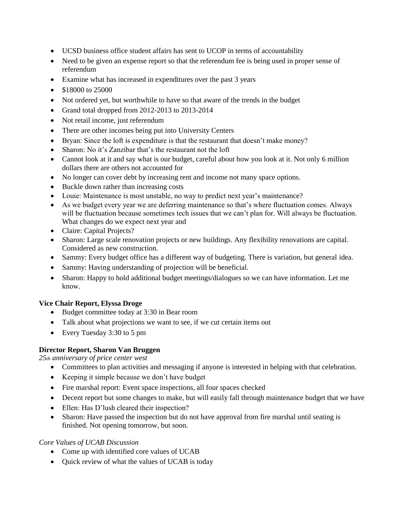- UCSD business office student affairs has sent to UCOP in terms of accountability
- Need to be given an expense report so that the referendum fee is being used in proper sense of referendum
- Examine what has increased in expenditures over the past 3 years
- \$18000 to 25000
- Not ordered yet, but worthwhile to have so that aware of the trends in the budget
- Grand total dropped from 2012-2013 to 2013-2014
- Not retail income, just referendum
- There are other incomes being put into University Centers
- Bryan: Since the loft is expenditure is that the restaurant that doesn't make money?
- Sharon: No it's Zanzibar that's the restaurant not the loft
- Cannot look at it and say what is our budget, careful about how you look at it. Not only 6 million dollars there are others not accounted for
- No longer can cover debt by increasing rent and income not many space options.
- Buckle down rather than increasing costs
- Louie: Maintenance is most unstable, no way to predict next year's maintenance?
- As we budget every year we are deferring maintenance so that's where fluctuation comes. Always will be fluctuation because sometimes tech issues that we can't plan for. Will always be fluctuation. What changes do we expect next year and
- Claire: Capital Projects?
- Sharon: Large scale renovation projects or new buildings. Any flexibility renovations are capital. Considered as new construction.
- Sammy: Every budget office has a different way of budgeting. There is variation, but general idea.
- Sammy: Having understanding of projection will be beneficial.
- Sharon: Happy to hold additional budget meetings/dialogues so we can have information. Let me know.

### **Vice Chair Report, Elyssa Droge**

- Budget committee today at 3:30 in Bear room
- Talk about what projections we want to see, if we cut certain items out
- Every Tuesday 3:30 to 5 pm

### **Director Report, Sharon Van Bruggen**

*25th anniversary of price center west* 

- Committees to plan activities and messaging if anyone is interested in helping with that celebration.
- Keeping it simple because we don't have budget
- Fire marshal report: Event space inspections, all four spaces checked
- Decent report but some changes to make, but will easily fall through maintenance budget that we have
- Ellen: Has D'lush cleared their inspection?
- Sharon: Have passed the inspection but do not have approval from fire marshal until seating is finished. Not opening tomorrow, but soon.

### *Core Values of UCAB Discussion*

- Come up with identified core values of UCAB
- Quick review of what the values of UCAB is today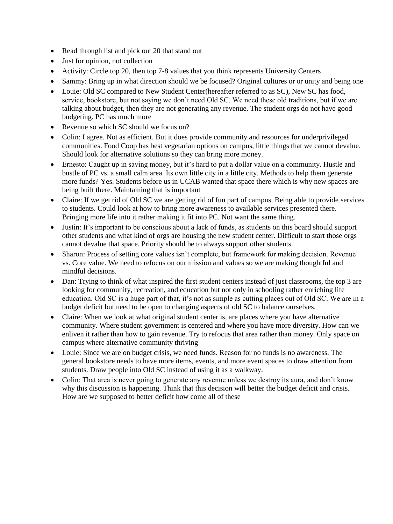- Read through list and pick out 20 that stand out
- Just for opinion, not collection
- Activity: Circle top 20, then top 7-8 values that you think represents University Centers
- Sammy: Bring up in what direction should we be focused? Original cultures or or unity and being one
- Louie: Old SC compared to New Student Center(hereafter referred to as SC), New SC has food, service, bookstore, but not saying we don't need Old SC. We need these old traditions, but if we are talking about budget, then they are not generating any revenue. The student orgs do not have good budgeting. PC has much more
- Revenue so which SC should we focus on?
- Colin: I agree. Not as efficient. But it does provide community and resources for underprivileged communities. Food Coop has best vegetarian options on campus, little things that we cannot devalue. Should look for alternative solutions so they can bring more money.
- Ernesto: Caught up in saving money, but it's hard to put a dollar value on a community. Hustle and bustle of PC vs. a small calm area. Its own little city in a little city. Methods to help them generate more funds? Yes. Students before us in UCAB wanted that space there which is why new spaces are being built there. Maintaining that is important
- Claire: If we get rid of Old SC we are getting rid of fun part of campus. Being able to provide services to students. Could look at how to bring more awareness to available services presented there. Bringing more life into it rather making it fit into PC. Not want the same thing.
- Justin: It's important to be conscious about a lack of funds, as students on this board should support other students and what kind of orgs are housing the new student center. Difficult to start those orgs cannot devalue that space. Priority should be to always support other students.
- Sharon: Process of setting core values isn't complete, but framework for making decision. Revenue vs. Core value. We need to refocus on our mission and values so we are making thoughtful and mindful decisions.
- Dan: Trying to think of what inspired the first student centers instead of just classrooms, the top 3 are looking for community, recreation, and education but not only in schooling rather enriching life education. Old SC is a huge part of that, it's not as simple as cutting places out of Old SC. We are in a budget deficit but need to be open to changing aspects of old SC to balance ourselves.
- Claire: When we look at what original student center is, are places where you have alternative community. Where student government is centered and where you have more diversity. How can we enliven it rather than how to gain revenue. Try to refocus that area rather than money. Only space on campus where alternative community thriving
- Louie: Since we are on budget crisis, we need funds. Reason for no funds is no awareness. The general bookstore needs to have more items, events, and more event spaces to draw attention from students. Draw people into Old SC instead of using it as a walkway.
- Colin: That area is never going to generate any revenue unless we destroy its aura, and don't know why this discussion is happening. Think that this decision will better the budget deficit and crisis. How are we supposed to better deficit how come all of these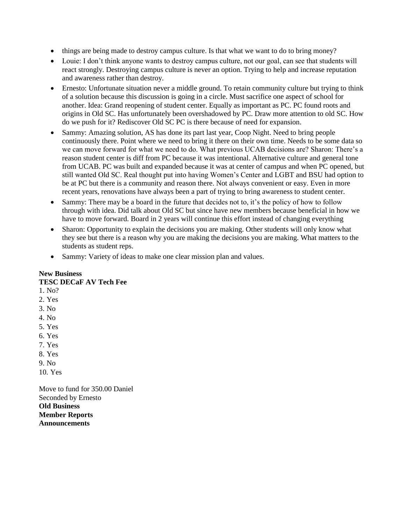- things are being made to destroy campus culture. Is that what we want to do to bring money?
- Louie: I don't think anyone wants to destroy campus culture, not our goal, can see that students will react strongly. Destroying campus culture is never an option. Trying to help and increase reputation and awareness rather than destroy.
- Ernesto: Unfortunate situation never a middle ground. To retain community culture but trying to think of a solution because this discussion is going in a circle. Must sacrifice one aspect of school for another. Idea: Grand reopening of student center. Equally as important as PC. PC found roots and origins in Old SC. Has unfortunately been overshadowed by PC. Draw more attention to old SC. How do we push for it? Rediscover Old SC PC is there because of need for expansion.
- Sammy: Amazing solution, AS has done its part last year, Coop Night. Need to bring people continuously there. Point where we need to bring it there on their own time. Needs to be some data so we can move forward for what we need to do. What previous UCAB decisions are? Sharon: There's a reason student center is diff from PC because it was intentional. Alternative culture and general tone from UCAB. PC was built and expanded because it was at center of campus and when PC opened, but still wanted Old SC. Real thought put into having Women's Center and LGBT and BSU had option to be at PC but there is a community and reason there. Not always convenient or easy. Even in more recent years, renovations have always been a part of trying to bring awareness to student center.
- Sammy: There may be a board in the future that decides not to, it's the policy of how to follow through with idea. Did talk about Old SC but since have new members because beneficial in how we have to move forward. Board in 2 years will continue this effort instead of changing everything
- Sharon: Opportunity to explain the decisions you are making. Other students will only know what they see but there is a reason why you are making the decisions you are making. What matters to the students as student reps.
- Sammy: Variety of ideas to make one clear mission plan and values.

## **New Business**

**TESC DECaF AV Tech Fee** 

- 1. No?
- 2. Yes
- 3. No
- 4. No
- 5. Yes
- 6. Yes
- 7. Yes
- 8. Yes
- 9. No
- 10. Yes

Move to fund for 350.00 Daniel Seconded by Ernesto **Old Business Member Reports Announcements**